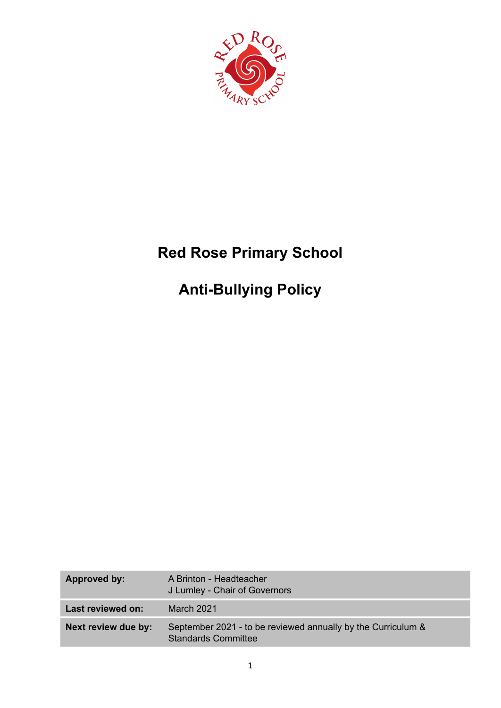

# **Red Rose Primary School**

# **Anti-Bullying Policy**

| Approved by:        | A Brinton - Headteacher<br>J Lumley - Chair of Governors                                   |
|---------------------|--------------------------------------------------------------------------------------------|
| Last reviewed on:   | March 2021                                                                                 |
| Next review due by: | September 2021 - to be reviewed annually by the Curriculum &<br><b>Standards Committee</b> |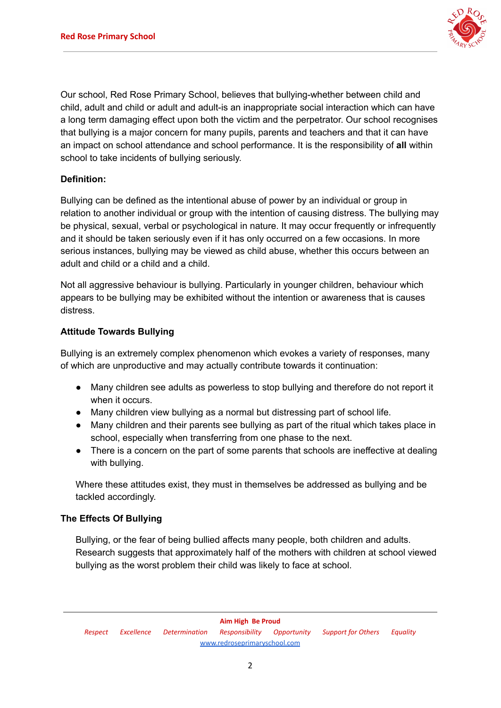

Our school, Red Rose Primary School, believes that bullying-whether between child and child, adult and child or adult and adult-is an inappropriate social interaction which can have a long term damaging effect upon both the victim and the perpetrator. Our school recognises that bullying is a major concern for many pupils, parents and teachers and that it can have an impact on school attendance and school performance. It is the responsibility of **all** within school to take incidents of bullying seriously.

## **Definition:**

Bullying can be defined as the intentional abuse of power by an individual or group in relation to another individual or group with the intention of causing distress. The bullying may be physical, sexual, verbal or psychological in nature. It may occur frequently or infrequently and it should be taken seriously even if it has only occurred on a few occasions. In more serious instances, bullying may be viewed as child abuse, whether this occurs between an adult and child or a child and a child.

Not all aggressive behaviour is bullying. Particularly in younger children, behaviour which appears to be bullying may be exhibited without the intention or awareness that is causes distress.

## **Attitude Towards Bullying**

Bullying is an extremely complex phenomenon which evokes a variety of responses, many of which are unproductive and may actually contribute towards it continuation:

- Many children see adults as powerless to stop bullying and therefore do not report it when it occurs.
- Many children view bullying as a normal but distressing part of school life.
- Many children and their parents see bullying as part of the ritual which takes place in school, especially when transferring from one phase to the next.
- There is a concern on the part of some parents that schools are ineffective at dealing with bullying.

Where these attitudes exist, they must in themselves be addressed as bullying and be tackled accordingly.

## **The Effects Of Bullying**

Bullying, or the fear of being bullied affects many people, both children and adults. Research suggests that approximately half of the mothers with children at school viewed bullying as the worst problem their child was likely to face at school.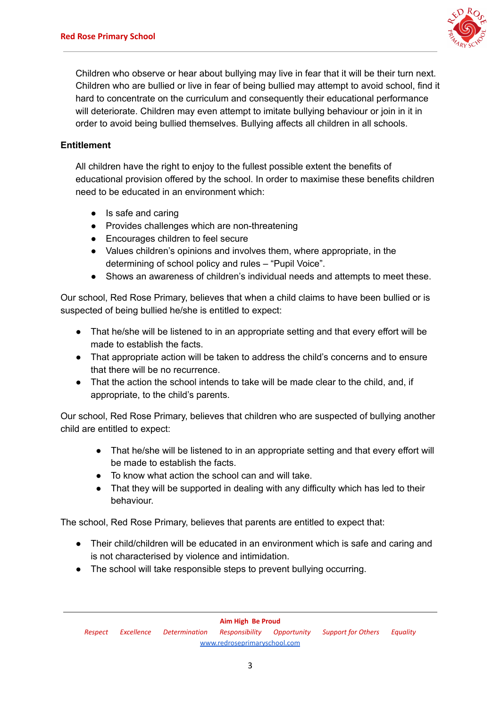

Children who observe or hear about bullying may live in fear that it will be their turn next. Children who are bullied or live in fear of being bullied may attempt to avoid school, find it hard to concentrate on the curriculum and consequently their educational performance will deteriorate. Children may even attempt to imitate bullying behaviour or join in it in order to avoid being bullied themselves. Bullying affects all children in all schools.

## **Entitlement**

All children have the right to enjoy to the fullest possible extent the benefits of educational provision offered by the school. In order to maximise these benefits children need to be educated in an environment which:

- Is safe and caring
- Provides challenges which are non-threatening
- Encourages children to feel secure
- Values children's opinions and involves them, where appropriate, in the determining of school policy and rules – "Pupil Voice".
- Shows an awareness of children's individual needs and attempts to meet these.

Our school, Red Rose Primary, believes that when a child claims to have been bullied or is suspected of being bullied he/she is entitled to expect:

- That he/she will be listened to in an appropriate setting and that every effort will be made to establish the facts.
- That appropriate action will be taken to address the child's concerns and to ensure that there will be no recurrence.
- That the action the school intends to take will be made clear to the child, and, if appropriate, to the child's parents.

Our school, Red Rose Primary, believes that children who are suspected of bullying another child are entitled to expect:

- That he/she will be listened to in an appropriate setting and that every effort will be made to establish the facts.
- To know what action the school can and will take.
- That they will be supported in dealing with any difficulty which has led to their behaviour.

The school, Red Rose Primary, believes that parents are entitled to expect that:

- Their child/children will be educated in an environment which is safe and caring and is not characterised by violence and intimidation.
- The school will take responsible steps to prevent bullying occurring.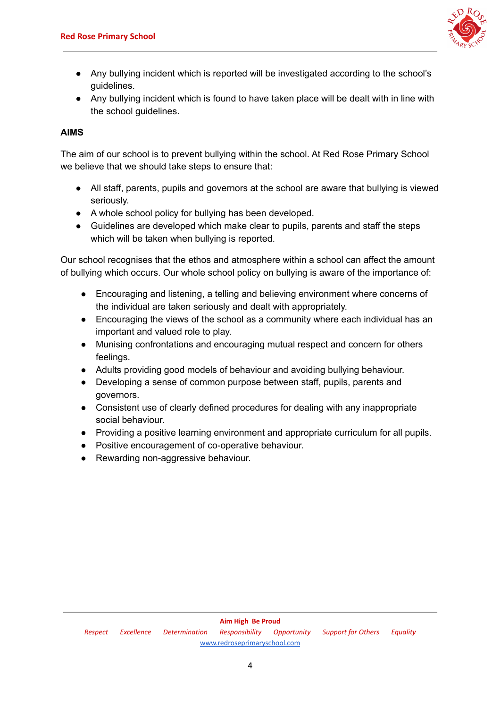

- Any bullying incident which is reported will be investigated according to the school's guidelines.
- Any bullying incident which is found to have taken place will be dealt with in line with the school guidelines.

## **AIMS**

The aim of our school is to prevent bullying within the school. At Red Rose Primary School we believe that we should take steps to ensure that:

- All staff, parents, pupils and governors at the school are aware that bullying is viewed seriously.
- A whole school policy for bullying has been developed.
- Guidelines are developed which make clear to pupils, parents and staff the steps which will be taken when bullying is reported.

Our school recognises that the ethos and atmosphere within a school can affect the amount of bullying which occurs. Our whole school policy on bullying is aware of the importance of:

- Encouraging and listening, a telling and believing environment where concerns of the individual are taken seriously and dealt with appropriately.
- Encouraging the views of the school as a community where each individual has an important and valued role to play.
- Munising confrontations and encouraging mutual respect and concern for others feelings.
- Adults providing good models of behaviour and avoiding bullying behaviour.
- Developing a sense of common purpose between staff, pupils, parents and governors.
- Consistent use of clearly defined procedures for dealing with any inappropriate social behaviour.
- Providing a positive learning environment and appropriate curriculum for all pupils.
- Positive encouragement of co-operative behaviour.
- Rewarding non-aggressive behaviour.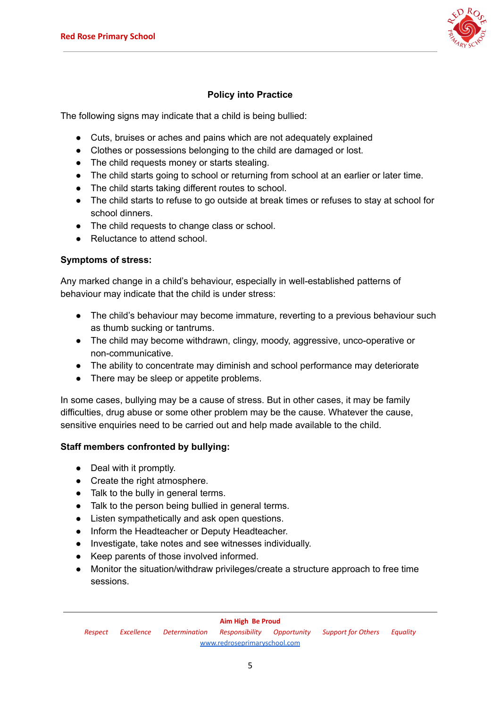

## **Policy into Practice**

The following signs may indicate that a child is being bullied:

- Cuts, bruises or aches and pains which are not adequately explained
- Clothes or possessions belonging to the child are damaged or lost.
- The child requests money or starts stealing.
- The child starts going to school or returning from school at an earlier or later time.
- The child starts taking different routes to school.
- The child starts to refuse to go outside at break times or refuses to stay at school for school dinners.
- The child requests to change class or school.
- Reluctance to attend school.

## **Symptoms of stress:**

Any marked change in a child's behaviour, especially in well-established patterns of behaviour may indicate that the child is under stress:

- The child's behaviour may become immature, reverting to a previous behaviour such as thumb sucking or tantrums.
- The child may become withdrawn, clingy, moody, aggressive, unco-operative or non-communicative.
- The ability to concentrate may diminish and school performance may deteriorate
- There may be sleep or appetite problems.

In some cases, bullying may be a cause of stress. But in other cases, it may be family difficulties, drug abuse or some other problem may be the cause. Whatever the cause, sensitive enquiries need to be carried out and help made available to the child.

## **Staff members confronted by bullying:**

- Deal with it promptly.
- Create the right atmosphere.
- Talk to the bully in general terms.
- Talk to the person being bullied in general terms.
- Listen sympathetically and ask open questions.
- Inform the Headteacher or Deputy Headteacher.
- Investigate, take notes and see witnesses individually.
- Keep parents of those involved informed.
- Monitor the situation/withdraw privileges/create a structure approach to free time sessions.